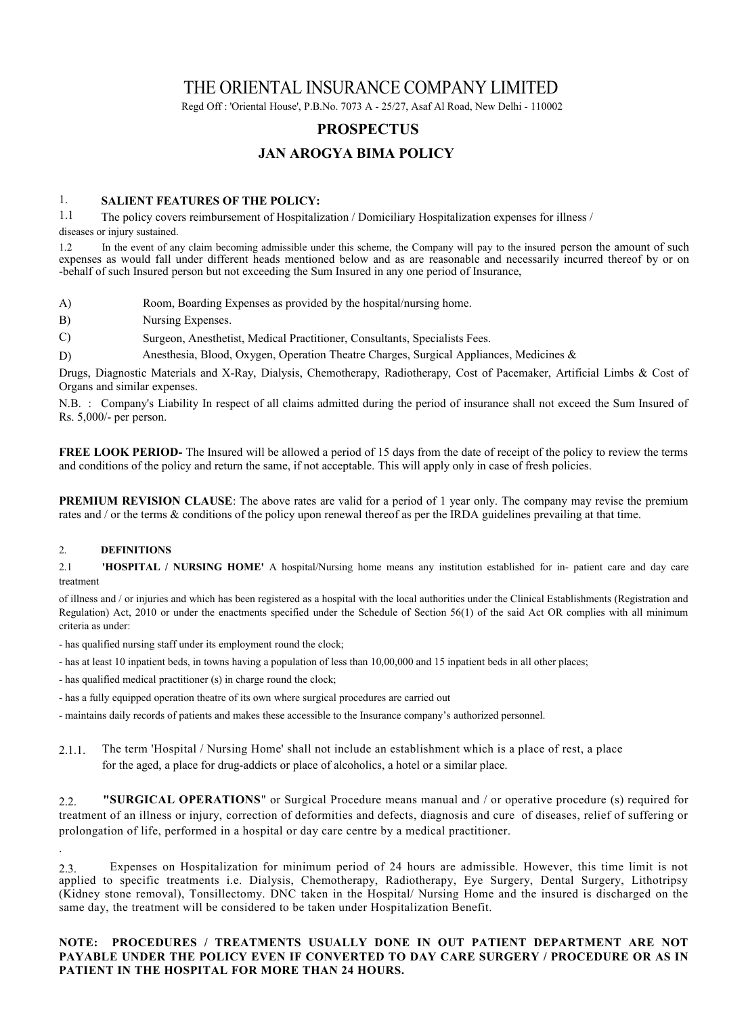# THE ORIENTAL INSURANCE COMPANY LIMITED

Regd Off : 'Oriental House', P.B.No. 7073 A - 25/27, Asaf Al Road, New Delhi - 110002

# **PROSPECTUS**

## **JAN AROGYA BIMA POLICY**

### 1. **SALIENT FEATURES OF THE POLICY:**

1.1 The policy covers reimbursement of Hospitalization / Domiciliary Hospitalization expenses for illness / diseases or injury sustained.

1.2 In the event of any claim becoming admissible under this scheme, the Company will pay to the insured person the amount of such expenses as would fall under different heads mentioned below and as are reasonable and necessarily incurred thereof by or on -behalf of such Insured person but not exceeding the Sum Insured in any one period of Insurance,

- A) Room, Boarding Expenses as provided by the hospital/nursing home.
- B) Nursing Expenses.
- C) Surgeon, Anesthetist, Medical Practitioner, Consultants, Specialists Fees.
- D) Anesthesia, Blood, Oxygen, Operation Theatre Charges, Surgical Appliances, Medicines &

Drugs, Diagnostic Materials and X-Ray, Dialysis, Chemotherapy, Radiotherapy, Cost of Pacemaker, Artificial Limbs & Cost of Organs and similar expenses.

N.B. : Company's Liability In respect of all claims admitted during the period of insurance shall not exceed the Sum Insured of Rs. 5,000/- per person.

**FREE LOOK PERIOD-** The Insured will be allowed a period of 15 days from the date of receipt of the policy to review the terms and conditions of the policy and return the same, if not acceptable. This will apply only in case of fresh policies.

**PREMIUM REVISION CLAUSE:** The above rates are valid for a period of 1 year only. The company may revise the premium rates and / or the terms & conditions of the policy upon renewal thereof as per the IRDA guidelines prevailing at that time.

#### 2. **DEFINITIONS**

.

2.1 **'HOSPITAL / NURSING HOME'** A hospital/Nursing home means any institution established for in- patient care and day care treatment

of illness and / or injuries and which has been registered as a hospital with the local authorities under the Clinical Establishments (Registration and Regulation) Act, 2010 or under the enactments specified under the Schedule of Section 56(1) of the said Act OR complies with all minimum criteria as under:

- has qualified nursing staff under its employment round the clock;
- has at least 10 inpatient beds, in towns having a population of less than 10,00,000 and 15 inpatient beds in all other places;
- has qualified medical practitioner (s) in charge round the clock;
- has a fully equipped operation theatre of its own where surgical procedures are carried out
- maintains daily records of patients and makes these accessible to the Insurance company's authorized personnel.
- 2.1.1. The term 'Hospital / Nursing Home' shall not include an establishment which is a place of rest, a place for the aged, a place for drug-addicts or place of alcoholics, a hotel or a similar place.

2.2. **"SURGICAL OPERATIONS**" or Surgical Procedure means manual and / or operative procedure (s) required for treatment of an illness or injury, correction of deformities and defects, diagnosis and cure of diseases, relief of suffering or prolongation of life, performed in a hospital or day care centre by a medical practitioner.

2.3. Expenses on Hospitalization for minimum period of 24 hours are admissible. However, this time limit is not applied to specific treatments i.e. Dialysis, Chemotherapy, Radiotherapy, Eye Surgery, Dental Surgery, Lithotripsy (Kidney stone removal), Tonsillectomy. DNC taken in the Hospital/ Nursing Home and the insured is discharged on the same day, the treatment will be considered to be taken under Hospitalization Benefit.

### **NOTE: PROCEDURES / TREATMENTS USUALLY DONE IN OUT PATIENT DEPARTMENT ARE NOT PAYABLE UNDER THE POLICY EVEN IF CONVERTED TO DAY CARE SURGERY / PROCEDURE OR AS IN PATIENT IN THE HOSPITAL FOR MORE THAN 24 HOURS.**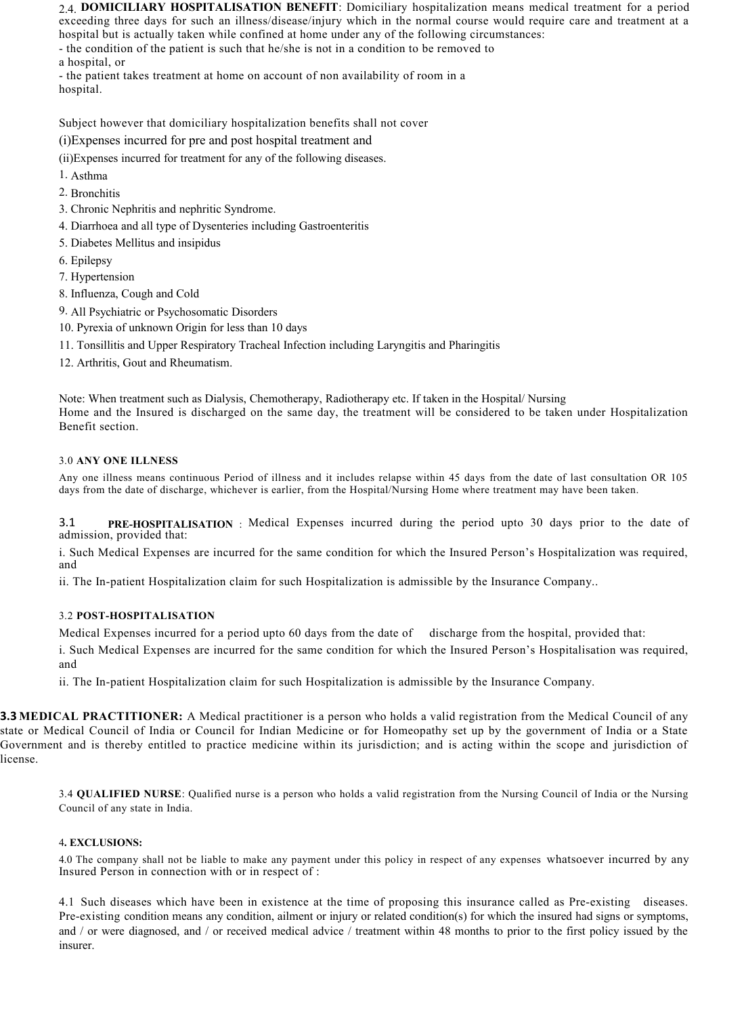2.4. **DOMICILIARY HOSPITALISATION BENEFIT**: Domiciliary hospitalization means medical treatment for a period exceeding three days for such an illness/disease/injury which in the normal course would require care and treatment at a hospital but is actually taken while confined at home under any of the following circumstances:

- the condition of the patient is such that he/she is not in a condition to be removed to

a hospital, or

- the patient takes treatment at home on account of non availability of room in a hospital.

Subject however that domiciliary hospitalization benefits shall not cover

(i)Expenses incurred for pre and post hospital treatment and

(ii)Expenses incurred for treatment for any of the following diseases.

- 1. Asthma
- 2. Bronchitis
- 3. Chronic Nephritis and nephritic Syndrome.
- 4. Diarrhoea and all type of Dysenteries including Gastroenteritis
- 5. Diabetes Mellitus and insipidus
- 6. Epilepsy
- 7. Hypertension
- 8. Influenza, Cough and Cold
- 9. All Psychiatric or Psychosomatic Disorders
- 10. Pyrexia of unknown Origin for less than 10 days
- 11. Tonsillitis and Upper Respiratory Tracheal Infection including Laryngitis and Pharingitis
- 12. Arthritis, Gout and Rheumatism.

Note: When treatment such as Dialysis, Chemotherapy, Radiotherapy etc. If taken in the Hospital/ Nursing Home and the Insured is discharged on the same day, the treatment will be considered to be taken under Hospitalization Benefit section.

### 3.0 **ANY ONE ILLNESS**

Any one illness means continuous Period of illness and it includes relapse within 45 days from the date of last consultation OR 105 days from the date of discharge, whichever is earlier, from the Hospital/Nursing Home where treatment may have been taken.

3.1 **PRE-HOSPITALISATION** : Medical Expenses incurred during the period upto 30 days prior to the date of admission, provided that:

i. Such Medical Expenses are incurred for the same condition for which the Insured Person's Hospitalization was required, and

ii. The In-patient Hospitalization claim for such Hospitalization is admissible by the Insurance Company..

### 3.2 **POST-HOSPITALISATION**

Medical Expenses incurred for a period upto 60 days from the date of discharge from the hospital, provided that:

i. Such Medical Expenses are incurred for the same condition for which the Insured Person's Hospitalisation was required, and

ii. The In-patient Hospitalization claim for such Hospitalization is admissible by the Insurance Company.

**3.3 MEDICAL PRACTITIONER:** A Medical practitioner is a person who holds a valid registration from the Medical Council of any state or Medical Council of India or Council for Indian Medicine or for Homeopathy set up by the government of India or a State Government and is thereby entitled to practice medicine within its jurisdiction; and is acting within the scope and jurisdiction of license.

3.4 **QUALIFIED NURSE**: Qualified nurse is a person who holds a valid registration from the Nursing Council of India or the Nursing Council of any state in India.

### 4**. EXCLUSIONS:**

4.0 The company shall not be liable to make any payment under this policy in respect of any expenses whatsoever incurred by any Insured Person in connection with or in respect of :

4.1 Such diseases which have been in existence at the time of proposing this insurance called as Pre-existing diseases. Pre-existing condition means any condition, ailment or injury or related condition(s) for which the insured had signs or symptoms, and / or were diagnosed, and / or received medical advice / treatment within 48 months to prior to the first policy issued by the insurer.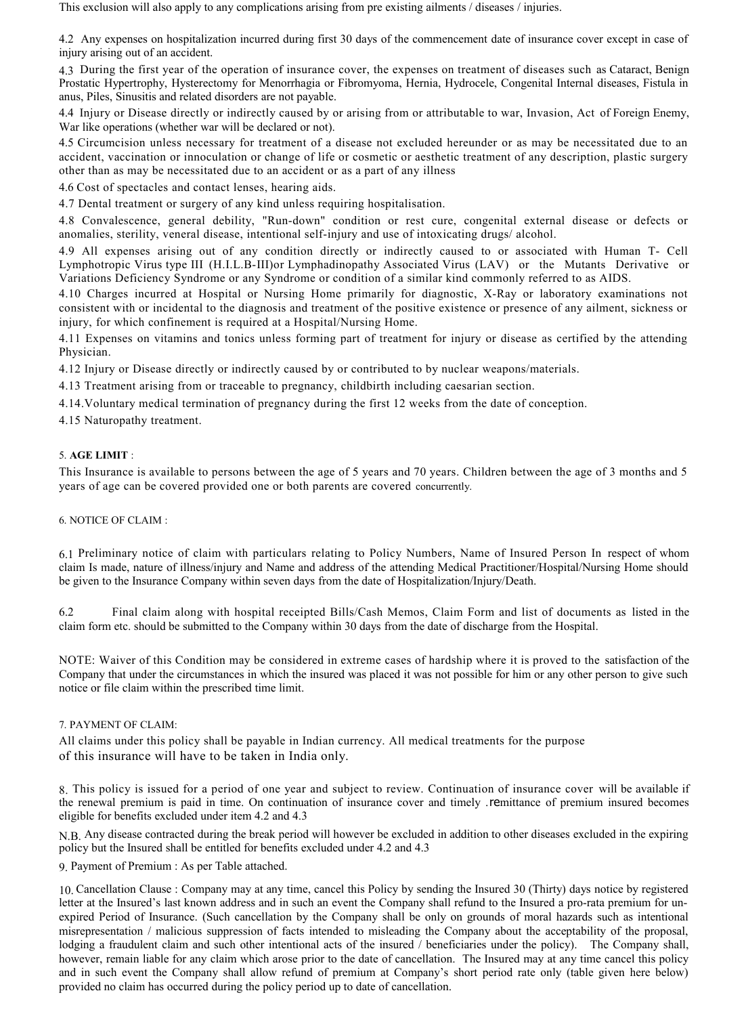This exclusion will also apply to any complications arising from pre existing ailments / diseases / injuries.

4.2 Any expenses on hospitalization incurred during first 30 days of the commencement date of insurance cover except in case of injury arising out of an accident.

4.3 During the first year of the operation of insurance cover, the expenses on treatment of diseases such as Cataract, Benign Prostatic Hypertrophy, Hysterectomy for Menorrhagia or Fibromyoma, Hernia, Hydrocele, Congenital Internal diseases, Fistula in anus, Piles, Sinusitis and related disorders are not payable.

4.4 Injury or Disease directly or indirectly caused by or arising from or attributable to war, Invasion, Act of Foreign Enemy, War like operations (whether war will be declared or not).

4.5 Circumcision unless necessary for treatment of a disease not excluded hereunder or as may be necessitated due to an accident, vaccination or innoculation or change of life or cosmetic or aesthetic treatment of any description, plastic surgery other than as may be necessitated due to an accident or as a part of any illness

4.6 Cost of spectacles and contact lenses, hearing aids.

4.7 Dental treatment or surgery of any kind unless requiring hospitalisation.

4.8 Convalescence, general debility, "Run-down" condition or rest cure, congenital external disease or defects or anomalies, sterility, veneral disease, intentional self-injury and use of intoxicating drugs/ alcohol.

4.9 All expenses arising out of any condition directly or indirectly caused to or associated with Human T- Cell Lymphotropic Virus type III (H.I.L.B-III)or Lymphadinopathy Associated Virus (LAV) or the Mutants Derivative or Variations Deficiency Syndrome or any Syndrome or condition of a similar kind commonly referred to as AIDS.

4.10 Charges incurred at Hospital or Nursing Home primarily for diagnostic, X-Ray or laboratory examinations not consistent with or incidental to the diagnosis and treatment of the positive existence or presence of any ailment, sickness or injury, for which confinement is required at a Hospital/Nursing Home.

4.11 Expenses on vitamins and tonics unless forming part of treatment for injury or disease as certified by the attending Physician.

4.12 Injury or Disease directly or indirectly caused by or contributed to by nuclear weapons/materials.

4.13 Treatment arising from or traceable to pregnancy, childbirth including caesarian section.

4.14.Voluntary medical termination of pregnancy during the first 12 weeks from the date of conception.

4.15 Naturopathy treatment.

### 5. **AGE LIMIT** :

This Insurance is available to persons between the age of 5 years and 70 years. Children between the age of 3 months and 5 years of age can be covered provided one or both parents are covered concurrently.

6. NOTICE OF CLAIM :

6.1 Preliminary notice of claim with particulars relating to Policy Numbers, Name of Insured Person In respect of whom claim Is made, nature of illness/injury and Name and address of the attending Medical Practitioner/Hospital/Nursing Home should be given to the Insurance Company within seven days from the date of Hospitalization/Injury/Death.

6.2 Final claim along with hospital receipted Bills/Cash Memos, Claim Form and list of documents as listed in the claim form etc. should be submitted to the Company within 30 days from the date of discharge from the Hospital.

NOTE: Waiver of this Condition may be considered in extreme cases of hardship where it is proved to the satisfaction of the Company that under the circumstances in which the insured was placed it was not possible for him or any other person to give such notice or file claim within the prescribed time limit.

### 7. PAYMENT OF CLAIM:

All claims under this policy shall be payable in Indian currency. All medical treatments for the purpose of this insurance will have to be taken in India only.

8. This policy is issued for a period of one year and subject to review. Continuation of insurance cover will be available if the renewal premium is paid in time. On continuation of insurance cover and timely .remittance of premium insured becomes eligible for benefits excluded under item 4.2 and 4.3

N.B. Any disease contracted during the break period will however be excluded in addition to other diseases excluded in the expiring policy but the Insured shall be entitled for benefits excluded under 4.2 and 4.3

9. Payment of Premium : As per Table attached.

10. Cancellation Clause : Company may at any time, cancel this Policy by sending the Insured 30 (Thirty) days notice by registered letter at the Insured's last known address and in such an event the Company shall refund to the Insured a pro-rata premium for unexpired Period of Insurance. (Such cancellation by the Company shall be only on grounds of moral hazards such as intentional misrepresentation / malicious suppression of facts intended to misleading the Company about the acceptability of the proposal, lodging a fraudulent claim and such other intentional acts of the insured / beneficiaries under the policy). The Company shall, however, remain liable for any claim which arose prior to the date of cancellation. The Insured may at any time cancel this policy and in such event the Company shall allow refund of premium at Company's short period rate only (table given here below) provided no claim has occurred during the policy period up to date of cancellation.